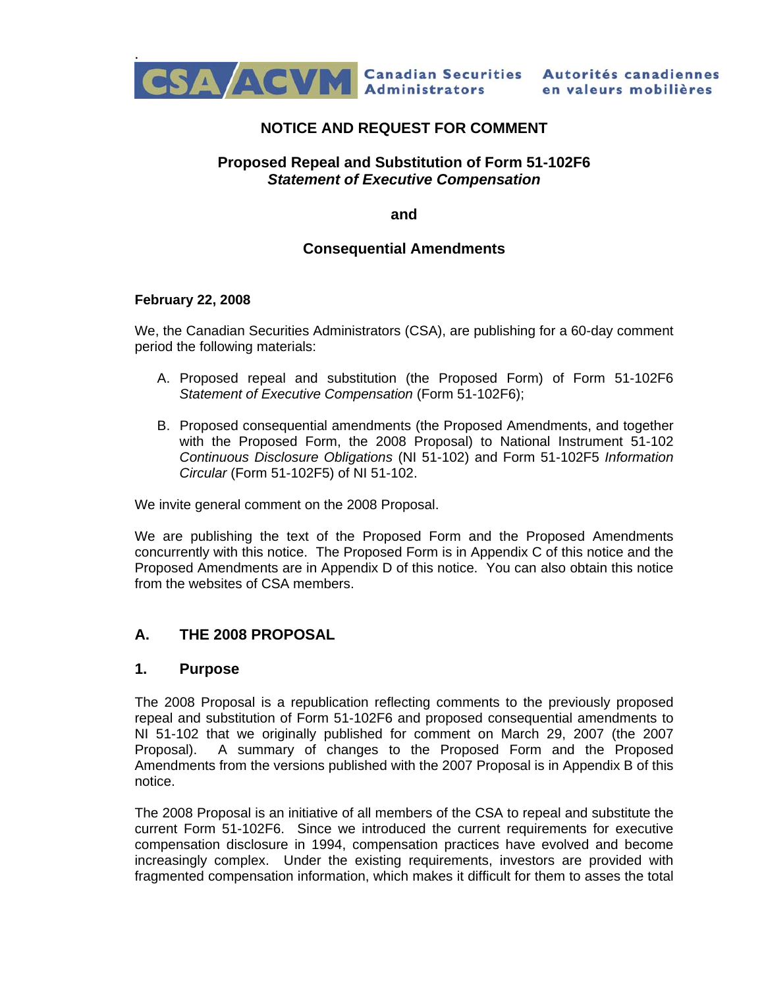

# **NOTICE AND REQUEST FOR COMMENT**

### **Proposed Repeal and Substitution of Form 51-102F6**  *Statement of Executive Compensation*

**and** 

#### **Consequential Amendments**

#### **February 22, 2008**

We, the Canadian Securities Administrators (CSA), are publishing for a 60-day comment period the following materials:

- A. Proposed repeal and substitution (the Proposed Form) of Form 51-102F6 *Statement of Executive Compensation* (Form 51-102F6);
- B. Proposed consequential amendments (the Proposed Amendments, and together with the Proposed Form, the 2008 Proposal) to National Instrument 51-102 *Continuous Disclosure Obligations* (NI 51-102) and Form 51-102F5 *Information Circular* (Form 51-102F5) of NI 51-102.

We invite general comment on the 2008 Proposal.

We are publishing the text of the Proposed Form and the Proposed Amendments concurrently with this notice. The Proposed Form is in Appendix C of this notice and the Proposed Amendments are in Appendix D of this notice. You can also obtain this notice from the websites of CSA members.

## **A. THE 2008 PROPOSAL**

#### **1. Purpose**

The 2008 Proposal is a republication reflecting comments to the previously proposed repeal and substitution of Form 51-102F6 and proposed consequential amendments to NI 51-102 that we originally published for comment on March 29, 2007 (the 2007 Proposal). A summary of changes to the Proposed Form and the Proposed Amendments from the versions published with the 2007 Proposal is in Appendix B of this notice.

The 2008 Proposal is an initiative of all members of the CSA to repeal and substitute the current Form 51-102F6. Since we introduced the current requirements for executive compensation disclosure in 1994, compensation practices have evolved and become increasingly complex. Under the existing requirements, investors are provided with fragmented compensation information, which makes it difficult for them to asses the total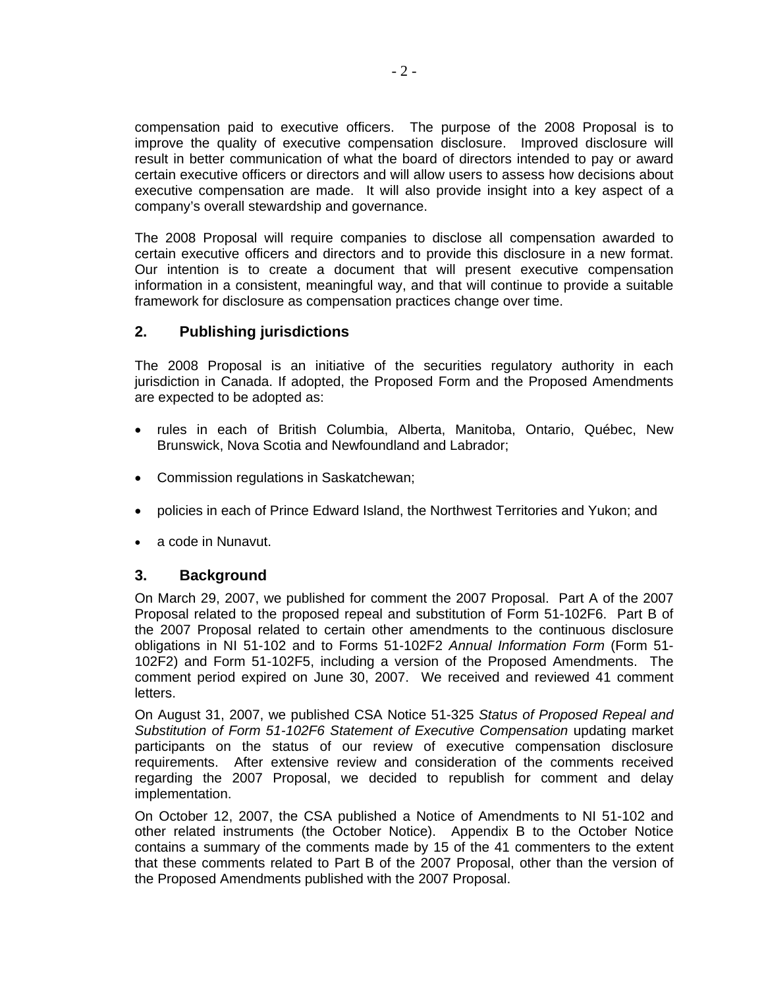compensation paid to executive officers. The purpose of the 2008 Proposal is to improve the quality of executive compensation disclosure. Improved disclosure will result in better communication of what the board of directors intended to pay or award certain executive officers or directors and will allow users to assess how decisions about executive compensation are made. It will also provide insight into a key aspect of a company's overall stewardship and governance.

The 2008 Proposal will require companies to disclose all compensation awarded to certain executive officers and directors and to provide this disclosure in a new format. Our intention is to create a document that will present executive compensation information in a consistent, meaningful way, and that will continue to provide a suitable framework for disclosure as compensation practices change over time.

## **2. Publishing jurisdictions**

The 2008 Proposal is an initiative of the securities regulatory authority in each jurisdiction in Canada. If adopted, the Proposed Form and the Proposed Amendments are expected to be adopted as:

- rules in each of British Columbia, Alberta, Manitoba, Ontario, Québec, New Brunswick, Nova Scotia and Newfoundland and Labrador;
- Commission regulations in Saskatchewan;
- policies in each of Prince Edward Island, the Northwest Territories and Yukon; and
- a code in Nunavut.

### **3. Background**

On March 29, 2007, we published for comment the 2007 Proposal. Part A of the 2007 Proposal related to the proposed repeal and substitution of Form 51-102F6. Part B of the 2007 Proposal related to certain other amendments to the continuous disclosure obligations in NI 51-102 and to Forms 51-102F2 *Annual Information Form* (Form 51- 102F2) and Form 51-102F5, including a version of the Proposed Amendments. The comment period expired on June 30, 2007. We received and reviewed 41 comment letters.

On August 31, 2007, we published CSA Notice 51-325 *Status of Proposed Repeal and Substitution of Form 51-102F6 Statement of Executive Compensation* updating market participants on the status of our review of executive compensation disclosure requirements. After extensive review and consideration of the comments received regarding the 2007 Proposal, we decided to republish for comment and delay implementation.

On October 12, 2007, the CSA published a Notice of Amendments to NI 51-102 and other related instruments (the October Notice). Appendix B to the October Notice contains a summary of the comments made by 15 of the 41 commenters to the extent that these comments related to Part B of the 2007 Proposal, other than the version of the Proposed Amendments published with the 2007 Proposal.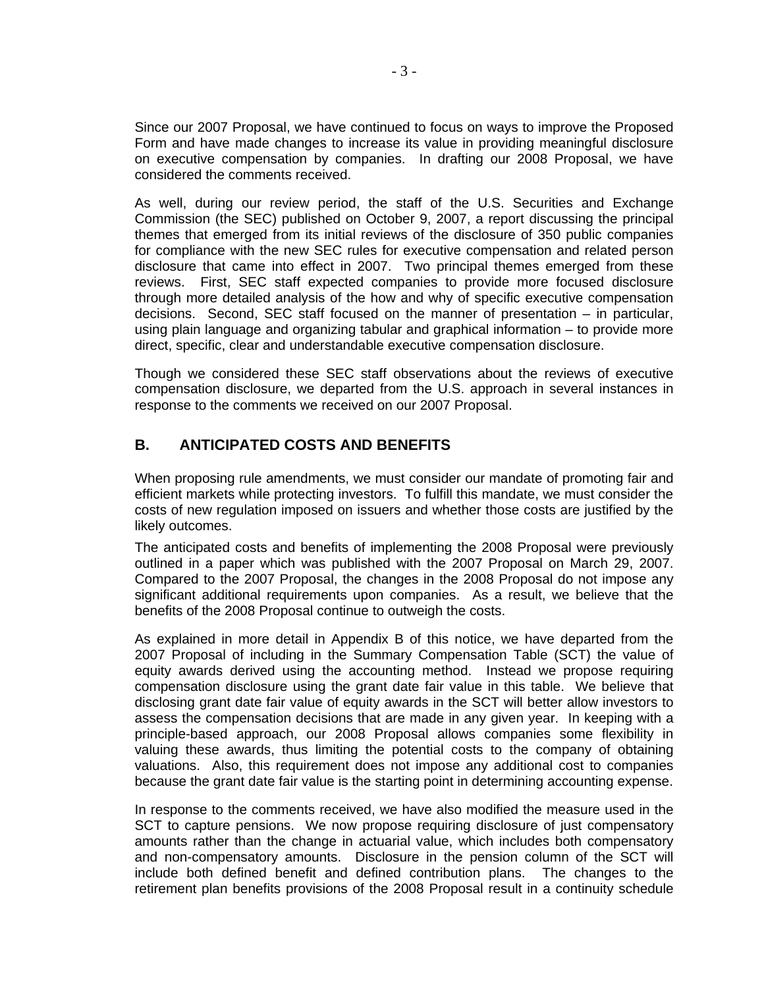Since our 2007 Proposal, we have continued to focus on ways to improve the Proposed Form and have made changes to increase its value in providing meaningful disclosure on executive compensation by companies. In drafting our 2008 Proposal, we have considered the comments received.

As well, during our review period, the staff of the U.S. Securities and Exchange Commission (the SEC) published on October 9, 2007, a report discussing the principal themes that emerged from its initial reviews of the disclosure of 350 public companies for compliance with the new SEC rules for executive compensation and related person disclosure that came into effect in 2007. Two principal themes emerged from these reviews. First, SEC staff expected companies to provide more focused disclosure through more detailed analysis of the how and why of specific executive compensation decisions. Second, SEC staff focused on the manner of presentation – in particular, using plain language and organizing tabular and graphical information – to provide more direct, specific, clear and understandable executive compensation disclosure.

Though we considered these SEC staff observations about the reviews of executive compensation disclosure, we departed from the U.S. approach in several instances in response to the comments we received on our 2007 Proposal.

# **B. ANTICIPATED COSTS AND BENEFITS**

When proposing rule amendments, we must consider our mandate of promoting fair and efficient markets while protecting investors. To fulfill this mandate, we must consider the costs of new regulation imposed on issuers and whether those costs are justified by the likely outcomes.

The anticipated costs and benefits of implementing the 2008 Proposal were previously outlined in a paper which was published with the 2007 Proposal on March 29, 2007. Compared to the 2007 Proposal, the changes in the 2008 Proposal do not impose any significant additional requirements upon companies. As a result, we believe that the benefits of the 2008 Proposal continue to outweigh the costs.

As explained in more detail in Appendix B of this notice, we have departed from the 2007 Proposal of including in the Summary Compensation Table (SCT) the value of equity awards derived using the accounting method. Instead we propose requiring compensation disclosure using the grant date fair value in this table. We believe that disclosing grant date fair value of equity awards in the SCT will better allow investors to assess the compensation decisions that are made in any given year. In keeping with a principle-based approach, our 2008 Proposal allows companies some flexibility in valuing these awards, thus limiting the potential costs to the company of obtaining valuations. Also, this requirement does not impose any additional cost to companies because the grant date fair value is the starting point in determining accounting expense.

In response to the comments received, we have also modified the measure used in the SCT to capture pensions. We now propose requiring disclosure of just compensatory amounts rather than the change in actuarial value, which includes both compensatory and non-compensatory amounts. Disclosure in the pension column of the SCT will include both defined benefit and defined contribution plans. The changes to the retirement plan benefits provisions of the 2008 Proposal result in a continuity schedule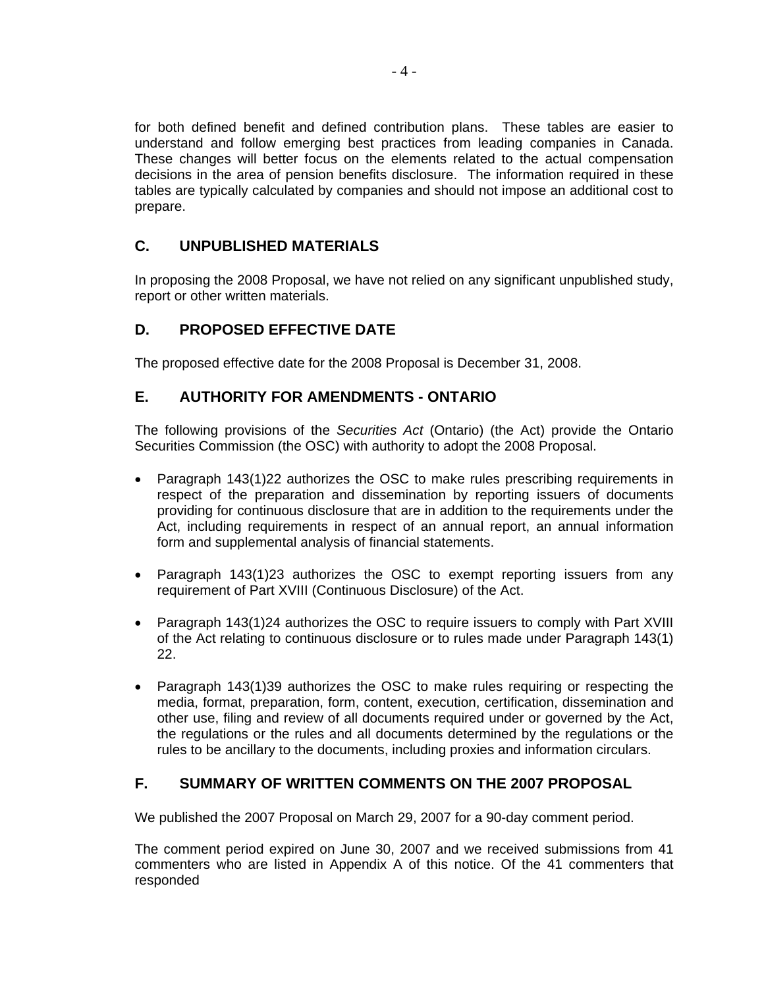for both defined benefit and defined contribution plans. These tables are easier to understand and follow emerging best practices from leading companies in Canada. These changes will better focus on the elements related to the actual compensation decisions in the area of pension benefits disclosure. The information required in these tables are typically calculated by companies and should not impose an additional cost to prepare.

## **C. UNPUBLISHED MATERIALS**

In proposing the 2008 Proposal, we have not relied on any significant unpublished study, report or other written materials.

## **D. PROPOSED EFFECTIVE DATE**

The proposed effective date for the 2008 Proposal is December 31, 2008.

## **E. AUTHORITY FOR AMENDMENTS - ONTARIO**

The following provisions of the *Securities Act* (Ontario) (the Act) provide the Ontario Securities Commission (the OSC) with authority to adopt the 2008 Proposal.

- Paragraph 143(1)22 authorizes the OSC to make rules prescribing requirements in respect of the preparation and dissemination by reporting issuers of documents providing for continuous disclosure that are in addition to the requirements under the Act, including requirements in respect of an annual report, an annual information form and supplemental analysis of financial statements.
- Paragraph 143(1)23 authorizes the OSC to exempt reporting issuers from any requirement of Part XVIII (Continuous Disclosure) of the Act.
- Paragraph 143(1)24 authorizes the OSC to require issuers to comply with Part XVIII of the Act relating to continuous disclosure or to rules made under Paragraph 143(1) 22.
- Paragraph 143(1)39 authorizes the OSC to make rules requiring or respecting the media, format, preparation, form, content, execution, certification, dissemination and other use, filing and review of all documents required under or governed by the Act, the regulations or the rules and all documents determined by the regulations or the rules to be ancillary to the documents, including proxies and information circulars.

## **F. SUMMARY OF WRITTEN COMMENTS ON THE 2007 PROPOSAL**

We published the 2007 Proposal on March 29, 2007 for a 90-day comment period.

The comment period expired on June 30, 2007 and we received submissions from 41 commenters who are listed in Appendix A of this notice. Of the 41 commenters that responded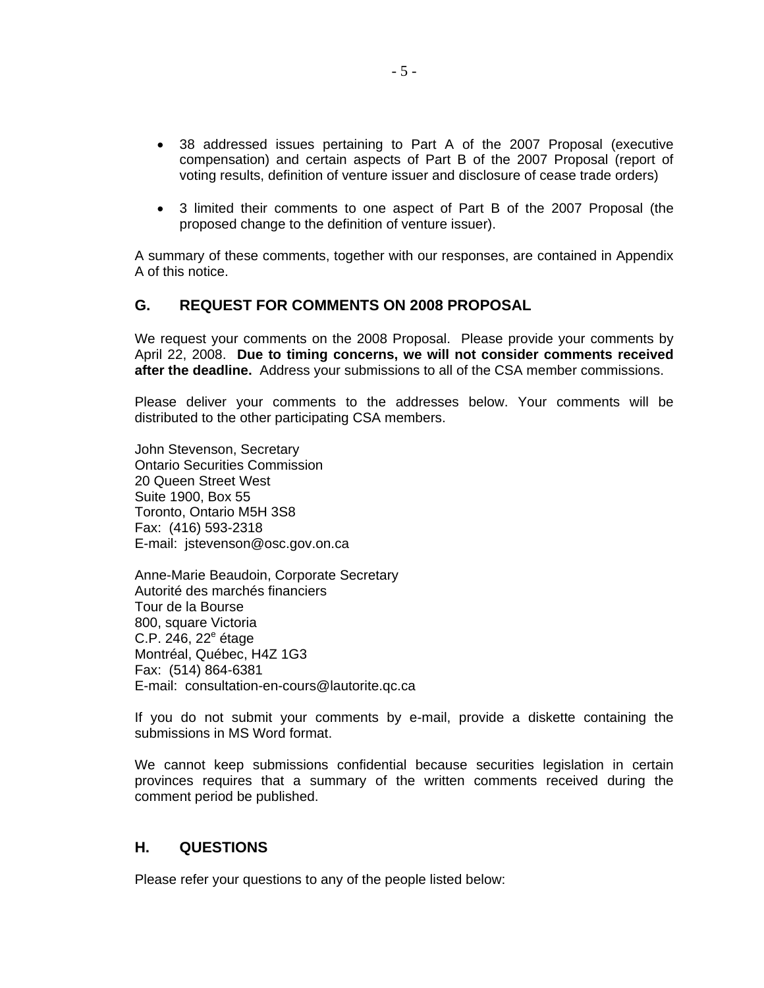- 38 addressed issues pertaining to Part A of the 2007 Proposal (executive compensation) and certain aspects of Part B of the 2007 Proposal (report of voting results, definition of venture issuer and disclosure of cease trade orders)
- 3 limited their comments to one aspect of Part B of the 2007 Proposal (the proposed change to the definition of venture issuer).

A summary of these comments, together with our responses, are contained in Appendix A of this notice.

### **G. REQUEST FOR COMMENTS ON 2008 PROPOSAL**

We request your comments on the 2008 Proposal. Please provide your comments by April 22, 2008. **Due to timing concerns, we will not consider comments received after the deadline.** Address your submissions to all of the CSA member commissions.

Please deliver your comments to the addresses below. Your comments will be distributed to the other participating CSA members.

John Stevenson, Secretary Ontario Securities Commission 20 Queen Street West Suite 1900, Box 55 Toronto, Ontario M5H 3S8 Fax: (416) 593-2318 E-mail: jstevenson@osc.gov.on.ca

Anne-Marie Beaudoin, Corporate Secretary Autorité des marchés financiers Tour de la Bourse 800, square Victoria C.P. 246, 22<sup>e</sup> étage Montréal, Québec, H4Z 1G3 Fax: (514) 864-6381 E-mail: consultation-en-cours@lautorite.qc.ca

If you do not submit your comments by e-mail, provide a diskette containing the submissions in MS Word format.

We cannot keep submissions confidential because securities legislation in certain provinces requires that a summary of the written comments received during the comment period be published.

### **H. QUESTIONS**

Please refer your questions to any of the people listed below: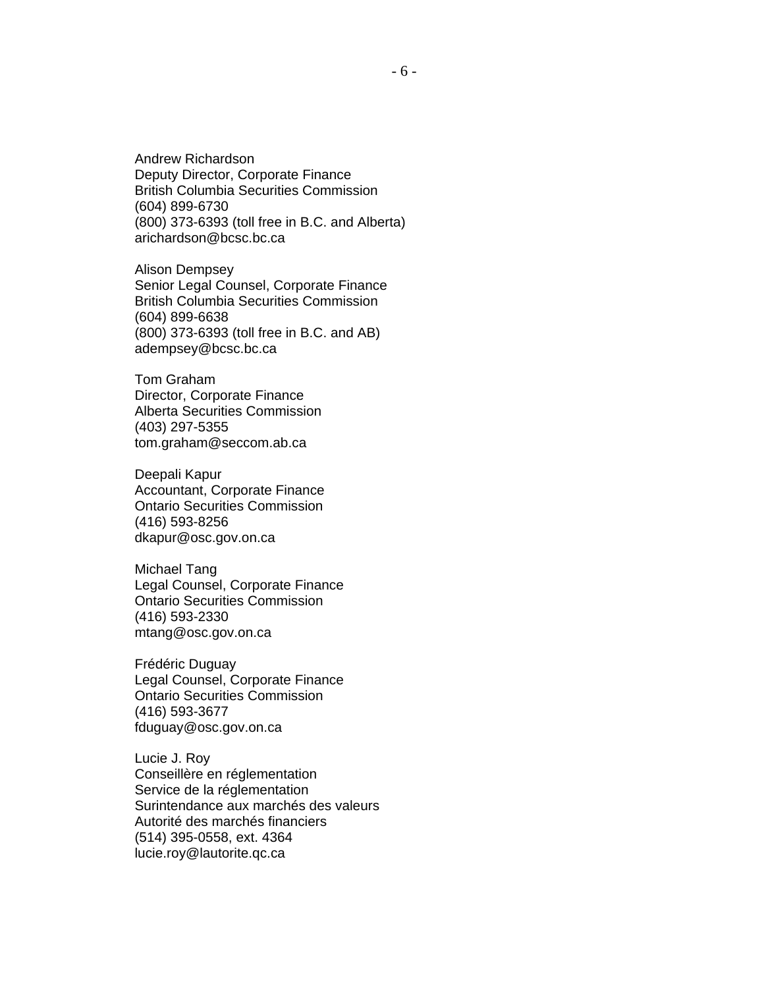Andrew Richardson Deputy Director, Corporate Finance British Columbia Securities Commission (604) 899-6730 (800) 373-6393 (toll free in B.C. and Alberta) arichardson@bcsc.bc.ca

Alison Dempsey Senior Legal Counsel, Corporate Finance British Columbia Securities Commission (604) 899-6638 (800) 373-6393 (toll free in B.C. and AB) adempsey@bcsc.bc.ca

Tom Graham Director, Corporate Finance Alberta Securities Commission (403) 297-5355 tom.graham@seccom.ab.ca

Deepali Kapur Accountant, Corporate Finance Ontario Securities Commission (416) 593-8256 dkapur@osc.gov.on.ca

Michael Tang Legal Counsel, Corporate Finance Ontario Securities Commission (416) 593-2330 mtang@osc.gov.on.ca

Frédéric Duguay Legal Counsel, Corporate Finance Ontario Securities Commission (416) 593-3677 fduguay@osc.gov.on.ca

Lucie J. Roy Conseillère en réglementation Service de la réglementation Surintendance aux marchés des valeurs Autorité des marchés financiers (514) 395-0558, ext. 4364 lucie.roy@lautorite.qc.ca